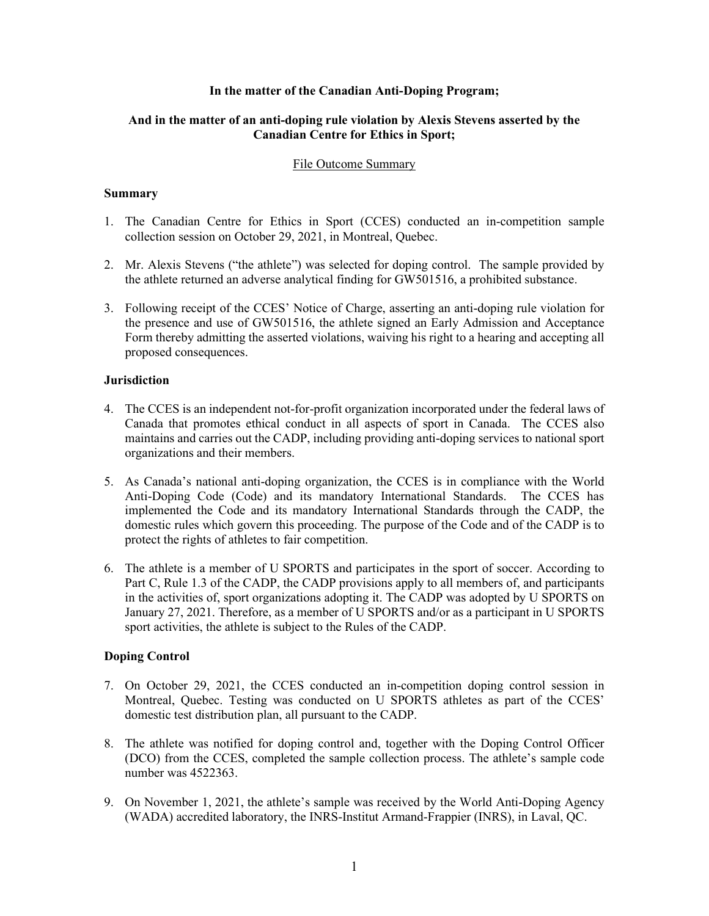## **In the matter of the Canadian Anti-Doping Program;**

# **And in the matter of an anti-doping rule violation by Alexis Stevens asserted by the Canadian Centre for Ethics in Sport;**

## File Outcome Summary

## **Summary**

- 1. The Canadian Centre for Ethics in Sport (CCES) conducted an in-competition sample collection session on October 29, 2021, in Montreal, Quebec.
- 2. Mr. Alexis Stevens ("the athlete") was selected for doping control. The sample provided by the athlete returned an adverse analytical finding for GW501516, a prohibited substance.
- 3. Following receipt of the CCES' Notice of Charge, asserting an anti-doping rule violation for the presence and use of GW501516, the athlete signed an Early Admission and Acceptance Form thereby admitting the asserted violations, waiving his right to a hearing and accepting all proposed consequences.

## **Jurisdiction**

- 4. The CCES is an independent not-for-profit organization incorporated under the federal laws of Canada that promotes ethical conduct in all aspects of sport in Canada. The CCES also maintains and carries out the CADP, including providing anti-doping services to national sport organizations and their members.
- 5. As Canada's national anti-doping organization, the CCES is in compliance with the World Anti-Doping Code (Code) and its mandatory International Standards. The CCES has implemented the Code and its mandatory International Standards through the CADP, the domestic rules which govern this proceeding. The purpose of the Code and of the CADP is to protect the rights of athletes to fair competition.
- 6. The athlete is a member of U SPORTS and participates in the sport of soccer. According to Part C, Rule 1.3 of the CADP, the CADP provisions apply to all members of, and participants in the activities of, sport organizations adopting it. The CADP was adopted by U SPORTS on January 27, 2021. Therefore, as a member of U SPORTS and/or as a participant in U SPORTS sport activities, the athlete is subject to the Rules of the CADP.

# **Doping Control**

- 7. On October 29, 2021, the CCES conducted an in-competition doping control session in Montreal, Quebec. Testing was conducted on U SPORTS athletes as part of the CCES' domestic test distribution plan, all pursuant to the CADP.
- 8. The athlete was notified for doping control and, together with the Doping Control Officer (DCO) from the CCES, completed the sample collection process. The athlete's sample code number was 4522363.
- 9. On November 1, 2021, the athlete's sample was received by the World Anti-Doping Agency (WADA) accredited laboratory, the INRS-Institut Armand-Frappier (INRS), in Laval, QC.